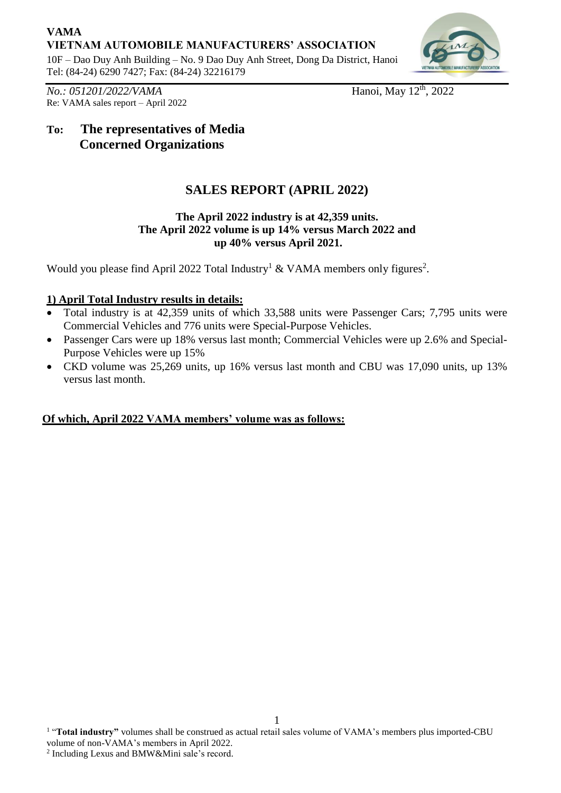## **VAMA VIETNAM AUTOMOBILE MANUFACTURERS' ASSOCIATION**

10F – Dao Duy Anh Building – No. 9 Dao Duy Anh Street, Dong Da District, Hanoi Tel: (84-24) 6290 7427; Fax: (84-24) 32216179



*No.: 051201/2022/VAMA* Hanoi, May 12<sup>th</sup>, 2022 Re: VAMA sales report – April 2022

# **To: The representatives of Media Concerned Organizations**

# **SALES REPORT (APRIL 2022)**

#### **The April 2022 industry is at 42,359 units. The April 2022 volume is up 14% versus March 2022 and up 40% versus April 2021.**

Would you please find April 2022 Total Industry<sup>1</sup> & VAMA members only figures<sup>2</sup>.

### **1) April Total Industry results in details:**

- Total industry is at 42,359 units of which 33,588 units were Passenger Cars; 7,795 units were Commercial Vehicles and 776 units were Special-Purpose Vehicles.
- Passenger Cars were up 18% versus last month; Commercial Vehicles were up 2.6% and Special-Purpose Vehicles were up 15%
- CKD volume was 25,269 units, up 16% versus last month and CBU was 17,090 units, up 13% versus last month.

### **Of which, April 2022 VAMA members' volume was as follows:**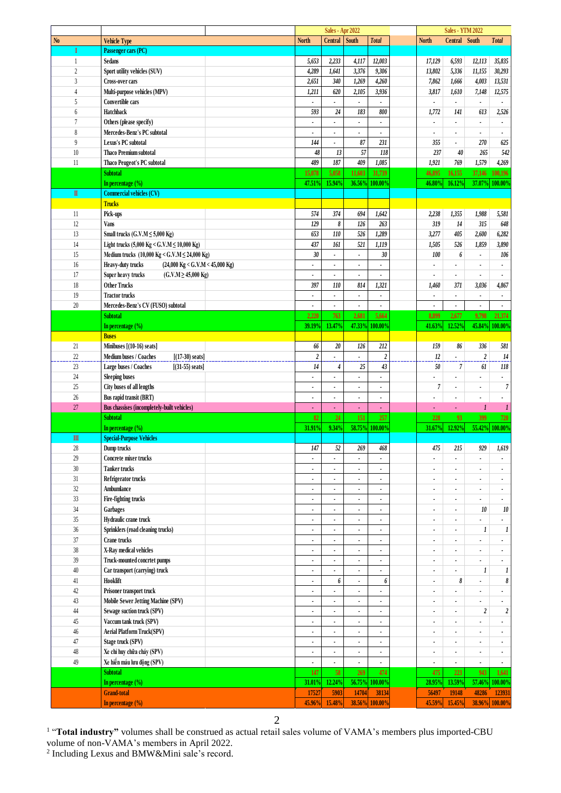|                |                                                                        |                          | <b>Sales - Apr 2022</b>  |                          |                          |                          | <b>Sales - YTM 2022</b>  |                          |                          |
|----------------|------------------------------------------------------------------------|--------------------------|--------------------------|--------------------------|--------------------------|--------------------------|--------------------------|--------------------------|--------------------------|
| N <sub>0</sub> | <b>Vehicle Type</b>                                                    | <b>North</b>             | Central South            |                          | <b>Total</b>             | <b>North</b>             | Central South            |                          | <b>Total</b>             |
| I              | Passenger cars (PC)                                                    |                          |                          |                          |                          |                          |                          |                          |                          |
| $\mathbf{1}$   | Sedans                                                                 | 5,653                    | 2,233                    | 4,117                    | 12,003                   | 17,129                   | 6,593                    | 12,113                   | 35,835                   |
| $\overline{c}$ | Sport utility vehicles (SUV)                                           | 4,289                    | 1,641                    | 3,376                    | 9,306                    | 13,802                   | 5,336                    | 11,155                   | 30,293                   |
| $\overline{3}$ | <b>Cross-over cars</b>                                                 | 2,651                    | 340                      | 1,269                    | 4,260                    | 7,862                    | 1,666                    | 4,003                    | 13,531                   |
|                |                                                                        |                          |                          |                          |                          |                          |                          |                          |                          |
| $\overline{4}$ | Multi-purpose vehicles (MPV)                                           | 1,211                    | 620                      | 2,105                    | 3,936                    | 3,817                    | 1,610                    | 7,148                    | 12,575                   |
| 5              | Convertible cars                                                       | $\blacksquare$           | $\blacksquare$           | $\blacksquare$           | $\blacksquare$           | $\blacksquare$           | $\blacksquare$           | $\blacksquare$           | $\blacksquare$           |
| 6              | Hatchback                                                              | 593                      | 24                       | 183                      | 800                      | 1,772                    | 141                      | 613                      | 2,526                    |
| $\overline{7}$ | Others (please specify)                                                | $\blacksquare$           | $\overline{\phantom{a}}$ | $\blacksquare$           | $\overline{\phantom{a}}$ | $\blacksquare$           | $\blacksquare$           | ٠                        | $\blacksquare$           |
| 8              | Mercedes-Benz's PC subtotal                                            | $\blacksquare$           |                          |                          |                          |                          | $\blacksquare$           | ٠                        | $\overline{\phantom{a}}$ |
| 9              | Lexus's PC subtotal                                                    | 144                      | ä,                       | 87                       | 231                      | 355                      | $\blacksquare$           | 270                      | 625                      |
|                |                                                                        |                          |                          |                          |                          |                          |                          |                          |                          |
| $10\,$         | <b>Thaco Premium subtotal</b>                                          | 48                       | 13                       | 57                       | 118                      | 237                      | 40                       | 265                      | 542                      |
| 11             | Thaco Peugeot's PC subtotal                                            | 489                      | 187                      | 409                      | 1,085                    | 1,921                    | 769                      | 1,579                    | 4,269                    |
|                | <b>Subtotal</b>                                                        | 15,078                   | 5,058                    | 11,603                   | 31,739                   | 46,895                   | 16,155                   | 37,146                   | 100,196                  |
|                | In percentage $(\% )$                                                  | 47.51%                   | 15.94%                   | 36.56%                   | 100.00%                  | 46.80%                   | 16.12%                   |                          | 37.07% 100.00%           |
| $\mathbf{I}$   | <b>Commercial vehicles (CV)</b>                                        |                          |                          |                          |                          |                          |                          |                          |                          |
|                | <b>Trucks</b>                                                          |                          |                          |                          |                          |                          |                          |                          |                          |
|                |                                                                        |                          |                          |                          |                          |                          |                          |                          |                          |
| 11             | Pick-ups                                                               | 574                      | 374                      | 694                      | 1,642                    | 2,238                    | 1,355                    | 1,988                    | 5,581                    |
| 12             | <b>Vans</b>                                                            | 129                      | 8                        | 126                      | 263                      | 319                      | $14$                     | 315                      | 648                      |
| 13             | Small trucks $(G.V.M \le 5,000$ Kg)                                    | 653                      | $110$                    | $\overline{526}$         | 1,289                    | 3,277                    | 405                      | 2,600                    | 6,282                    |
| 14             | Light trucks (5,000 Kg < G.V.M $\leq$ 10,000 Kg)                       | 437                      | 161                      | 521                      | 1,119                    | 1,505                    | 526                      | 1,859                    | 3,890                    |
| 15             | Medium trucks (10,000 Kg < G.V.M $\leq$ 24,000 Kg)                     | 30                       | ä,                       | $\blacksquare$           | 30                       | 100                      | 6                        | ä,                       | 106                      |
| 16             | Heavy-duty trucks<br>$(24,000 \text{ Kg} < G.V.M < 45,000 \text{ Kg})$ | $\blacksquare$           |                          | ٠                        |                          |                          |                          |                          | $\overline{\phantom{a}}$ |
|                |                                                                        |                          |                          |                          |                          |                          |                          | $\blacksquare$           |                          |
| 17             | Super heavy trucks<br>$(G.V.M \ge 45,000$ Kg)                          | $\overline{\phantom{a}}$ |                          | ٠                        | ä,                       |                          |                          | $\overline{\phantom{a}}$ |                          |
| 18             | <b>Other Trucks</b>                                                    | 397                      | 110                      | 814                      | 1,321                    | 1,460                    | 371                      | 3,036                    | 4,867                    |
| 19             | <b>Tractor trucks</b>                                                  |                          |                          | ä,                       | ä,                       |                          |                          |                          | $\blacksquare$           |
| 20             | Mercedes-Benz's CV (FUSO) subtotal                                     | $\blacksquare$           | $\blacksquare$           | $\blacksquare$           | $\blacksquare$           | $\bullet$                | $\bullet$                | ٠                        | $\blacksquare$           |
|                | <b>Subtotal</b>                                                        | 2,220                    | 763                      | 2,681                    | 5,664                    | 8,899                    | 2,677                    | 9,798                    | 21,374                   |
|                |                                                                        | 39.19%                   | 13.47%                   | 47.33%                   | 100.00%                  | 41.63%                   | 12.52%                   | 45.84%                   | 100.00%                  |
|                | In percentage $(\% )$                                                  |                          |                          |                          |                          |                          |                          |                          |                          |
|                | <b>Buses</b>                                                           |                          |                          |                          |                          |                          |                          |                          |                          |
| 21             | Minibuses [(10-16) seats]                                              | 66                       | 20                       | 126                      | 212                      | 159                      | 86                       | 336                      | 581                      |
| 22             | Medium buses / Coaches<br>$[(17-30) \text{ seats}]$                    | $\boldsymbol{2}$         | $\blacksquare$           | ٠                        | $\boldsymbol{2}$         | 12                       | $\blacksquare$           | $\boldsymbol{2}$         | 14                       |
| 23             | Large buses / Coaches<br>$[(31-55) \text{ seats}]$                     | 14                       | 4                        | 25                       | 43                       | 50                       | $\overline{\phantom{a}}$ | 61                       | 118                      |
| 24             | <b>Sleeping buses</b>                                                  | $\overline{\phantom{a}}$ | ÷,                       | ä,                       | $\overline{\phantom{a}}$ |                          | ÷,                       | $\blacksquare$           | $\blacksquare$           |
| 25             | City buses of all lengths                                              |                          |                          |                          |                          | $\overline{7}$           | $\blacksquare$           | ٠                        | $\overline{7}$           |
|                |                                                                        | $\bullet$                |                          | ٠                        | $\blacksquare$           |                          |                          |                          |                          |
| 26             | Bus rapid transit (BRT)                                                | $\blacksquare$           | $\overline{\phantom{a}}$ | $\overline{\phantom{a}}$ | $\overline{\phantom{a}}$ |                          | $\ddot{\phantom{a}}$     | $\overline{\phantom{a}}$ |                          |
| 27             | Bus chassises (incompletely-built vehicles)                            | ٠                        | $\blacksquare$           | ٠                        | ÷.                       |                          | ¥                        | 1                        | 1                        |
|                | <b>Subtotal</b>                                                        | 82                       | 24                       | 151                      | 257                      | 228                      | 93                       | 399                      | 720                      |
|                | In percentage $(\% )$                                                  | 31.91%                   | 9.34%                    |                          | 58.75% 100.00%           | 31.67%                   | 12.92%                   |                          | 55.42% 100.00%           |
| $\mathbf{m}$   | <b>Special-Purpose Vehicles</b>                                        |                          |                          |                          |                          |                          |                          |                          |                          |
| $28\,$         | Dump trucks                                                            | $147\,$                  | $52\,$                   | 269                      | $\sqrt{468}$             | $475\,$                  | $215\,$                  | 929                      | $1,619$                  |
|                |                                                                        |                          |                          |                          |                          |                          |                          |                          |                          |
| 29             | Concrete mixer trucks                                                  | $\blacksquare$           | $\blacksquare$           | ٠                        | $\overline{\phantom{a}}$ | $\blacksquare$           | $\blacksquare$           | ٠                        | $\blacksquare$           |
| 30             | <b>Tanker trucks</b>                                                   | $\bullet$                | $\blacksquare$           | $\blacksquare$           | ٠                        | $\blacksquare$           | $\blacksquare$           | ٠                        | $\blacksquare$           |
| $31\,$         | Refrigerator trucks                                                    | $\blacksquare$           | $\overline{\phantom{a}}$ | $\overline{\phantom{a}}$ | $\overline{\phantom{a}}$ | $\overline{a}$           | $\epsilon$               | $\blacksquare$           | $\blacksquare$           |
| 32             | Ambumlance                                                             | $\blacksquare$           | $\blacksquare$           | $\overline{\phantom{a}}$ | $\blacksquare$           | $\blacksquare$           | $\blacksquare$           | ٠                        | $\blacksquare$           |
| 33             | Fire-fighting trucks                                                   | $\blacksquare$           |                          | $\overline{\phantom{a}}$ | $\overline{\phantom{a}}$ |                          |                          |                          |                          |
| $34\,$         | Garbages                                                               | $\blacksquare$           | $\blacksquare$           | ٠                        | $\blacksquare$           | $\blacksquare$           | $\blacksquare$           | $10\,$                   | 10                       |
|                |                                                                        |                          |                          |                          |                          |                          |                          |                          |                          |
| 35             | Hydraulic crane truck                                                  | $\blacksquare$           | $\blacksquare$           | $\overline{\phantom{a}}$ | $\overline{\phantom{a}}$ | $\blacksquare$           | $\blacksquare$           |                          |                          |
| $36\,$         | Sprinklers (road cleaning trucks)                                      | $\blacksquare$           |                          | $\blacksquare$           | $\blacksquare$           | $\blacksquare$           |                          | 1                        | 1                        |
| $37\,$         | Crane trucks                                                           | $\blacksquare$           | $\blacksquare$           | $\overline{\phantom{a}}$ | $\blacksquare$           | $\blacksquare$           | $\blacksquare$           | $\blacksquare$           | $\blacksquare$           |
| $38\,$         | X-Ray medical vehicles                                                 | $\blacksquare$           |                          | $\overline{\phantom{a}}$ | $\blacksquare$           |                          | $\blacksquare$           | $\blacksquare$           | $\overline{\phantom{a}}$ |
| $39\,$         | Truck-mounted concrtet pumps                                           | $\blacksquare$           | ٠                        | $\overline{\phantom{a}}$ | $\overline{\phantom{a}}$ | $\overline{\phantom{a}}$ | $\blacksquare$           | ÷                        | $\blacksquare$           |
| 40             | Car transport (carrying) truck                                         | $\blacksquare$           | ٠                        | $\blacksquare$           | $\blacksquare$           | $\blacksquare$           | $\blacksquare$           | 1                        | 1                        |
|                |                                                                        |                          |                          |                          |                          |                          |                          |                          |                          |
| 41             | Hooklift                                                               | $\blacksquare$           | 6                        | $\overline{\phantom{a}}$ | 6                        | $\overline{\phantom{a}}$ | 8                        | $\blacksquare$           | 8                        |
| $42\,$         | Prisoner transport truck                                               | $\blacksquare$           | $\blacksquare$           | $\blacksquare$           | $\blacksquare$           | $\blacksquare$           | $\blacksquare$           | $\blacksquare$           | $\blacksquare$           |
| 43             | Mobile Sewer Jetting Machine (SPV)                                     | $\blacksquare$           |                          |                          |                          |                          | $\blacksquare$           |                          |                          |
| $44\,$         | Sewage suction truck (SPV)                                             | $\blacksquare$           | $\blacksquare$           | $\blacksquare$           | $\blacksquare$           | $\blacksquare$           | $\blacksquare$           | $\boldsymbol{2}$         | $\boldsymbol{2}$         |
| $45\,$         | Vaccum tank truck (SPV)                                                | $\blacksquare$           | $\blacksquare$           | ٠                        | $\blacksquare$           | $\blacksquare$           | $\blacksquare$           | $\overline{\phantom{a}}$ |                          |
| $46\,$         | Aerial Platform Truck(SPV)                                             | ä,                       |                          | ä,                       | ٠                        | $\overline{\phantom{a}}$ | $\overline{\phantom{a}}$ | $\blacksquare$           |                          |
|                |                                                                        |                          |                          |                          |                          |                          |                          |                          | $\blacksquare$           |
| $47\,$         | Stage truck (SPV)                                                      | $\blacksquare$           |                          | $\blacksquare$           | $\blacksquare$           | $\blacksquare$           | $\blacksquare$           | ٠                        | $\blacksquare$           |
| $48\,$         | Xe chỉ huy chữa cháy (SPV)                                             |                          |                          |                          | $\blacksquare$           |                          |                          | ٠                        | $\blacksquare$           |
| 49             | Xe hiến máu lưu động (SPV)                                             | ¥,                       | $\blacksquare$           | ä,                       | ¥.                       | $\blacksquare$           | $\blacksquare$           | ä,                       | $\blacksquare$           |
|                | <b>Subtotal</b>                                                        | 147                      | 58                       | 269                      | 474                      | 475                      | 223                      | 943                      | 1,641                    |
|                | In percentage (%)                                                      | 31.01%                   | 12.24%                   |                          | 56.75% 100.00%           | 28.95%                   | 13.59%                   | 57.46%                   | 100.00%                  |
|                | <b>Grand-total</b>                                                     |                          |                          |                          |                          |                          |                          |                          |                          |
|                |                                                                        | 17527                    | 5903                     | 14704                    | 38134                    | 56497                    | 19148                    | 48286                    | 123931                   |
|                | In percentage (%)                                                      | 45.96%                   | 15.48%                   |                          | 38.56% 100.00%           | 45.59%                   | 15.45%                   | 38.96%                   | 100.00%                  |

<sup>1</sup> "Total industry" volumes shall be construed as actual retail sales volume of VAMA's members plus imported-CBU

volume of non-VAMA's members in April 2022. 2 Including Lexus and BMW&Mini sale's record.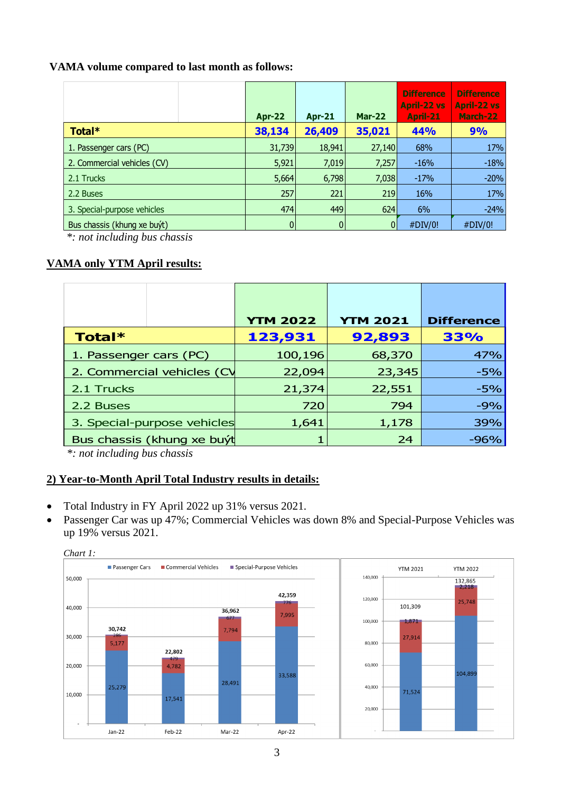#### **VAMA volume compared to last month as follows:**

|                             | <b>Apr-22</b>  | <b>Apr-21</b> | <b>Mar-22</b> | <b>Difference</b><br><b>April-22 vs</b><br>April-21 | <b>Difference</b><br><b>April-22 vs</b><br>March-22 |
|-----------------------------|----------------|---------------|---------------|-----------------------------------------------------|-----------------------------------------------------|
| Total*                      | 38,134         | 26,409        | 35,021        | 44%                                                 | 9%                                                  |
| 1. Passenger cars (PC)      | 31,739         | 18,941        | 27,140        | 68%                                                 | 17%                                                 |
| 2. Commercial vehicles (CV) | 5,921          | 7,019         | 7,257         | $-16%$                                              | $-18%$                                              |
| 2.1 Trucks                  | 5,664          | 6,798         | 7,038         | $-17%$                                              | $-20%$                                              |
| 2.2 Buses                   | 257            | 221           | 219           | 16%                                                 | 17%                                                 |
| 3. Special-purpose vehicles | 474            | 449           | 624           | 6%                                                  | $-24%$                                              |
| Bus chassis (khung xe buýt) | $\overline{0}$ | $\mathbf{0}$  | $\Omega$      | #DIV/0!                                             | #DIV/0!                                             |

*\*: not including bus chassis*

#### **VAMA only YTM April results:**

|                             | <b>YTM 2022</b> | <b>YTM 2021</b> | <b>Difference</b> |
|-----------------------------|-----------------|-----------------|-------------------|
| Total*                      | 123,931         | 92,893          | 33%               |
| 1. Passenger cars (PC)      | 100,196         | 68,370          | 47%               |
| 2. Commercial vehicles (CV  | 22,094          | 23,345          | $-5%$             |
| 2.1 Trucks                  | 21,374          | 22,551          | $-5%$             |
| 2.2 Buses                   | 720             | 794             | $-9%$             |
| 3. Special-purpose vehicles | 1,641           | 1,178           | 39%               |
| Bus chassis (khung xe buýt  |                 | 24              | $-96%$            |

*\*: not including bus chassis*

#### **2) Year-to-Month April Total Industry results in details:**

- Total Industry in FY April 2022 up 31% versus 2021.
- Passenger Car was up 47%; Commercial Vehicles was down 8% and Special-Purpose Vehicles was up 19% versus 2021.